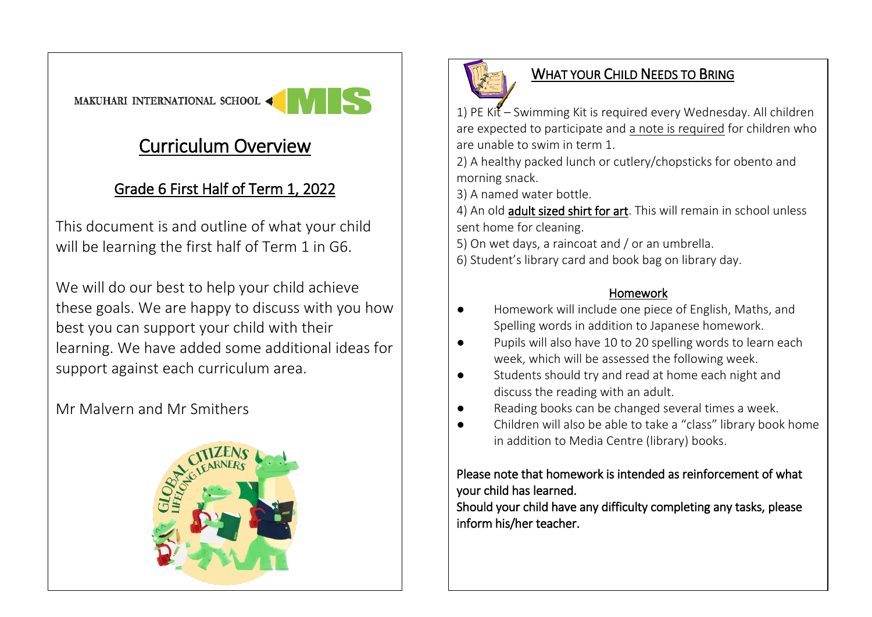# Curriculum Overview

## Grade 6 First Half of Term 1, 2022

This document is and outline of what your child will be learning the first half of Term 1 in G6.

We will do our best to help your child achieve these goals. We are happy to discuss with you how best you can support your child with their learning. We have added some additional ideas for support against each curriculum area.

## Mr Malvern and Mr Smithers





### WHAT YOUR CHILD NEEDS TO BRING

1) PE Kit – Swimming Kit is required every Wednesday. All children are expected to participate and a note is required for children who are unable to swim in term 1.

2) A healthy packed lunch or cutlery/chopsticks for obento and morning snack.

3) A named water bottle.

4) An old adult sized shirt for art. This will remain in school unless sent home for cleaning.

5) On wet days, a raincoat and / or an umbrella.

6) Student's library card and book bag on library day.

#### Homework

- Homework will include one piece of English, Maths, and Spelling words in addition to Japanese homework.
- Pupils will also have 10 to 20 spelling words to learn each week, which will be assessed the following week.
- Students should try and read at home each night and discuss the reading with an adult.
- Reading books can be changed several times a week.
- Children will also be able to take a "class" library book home in addition to Media Centre (library) books.

#### Please note that homework is intended as reinforcement of what your child has learned.

Should your child have any difficulty completing any tasks, please inform his/her teacher.